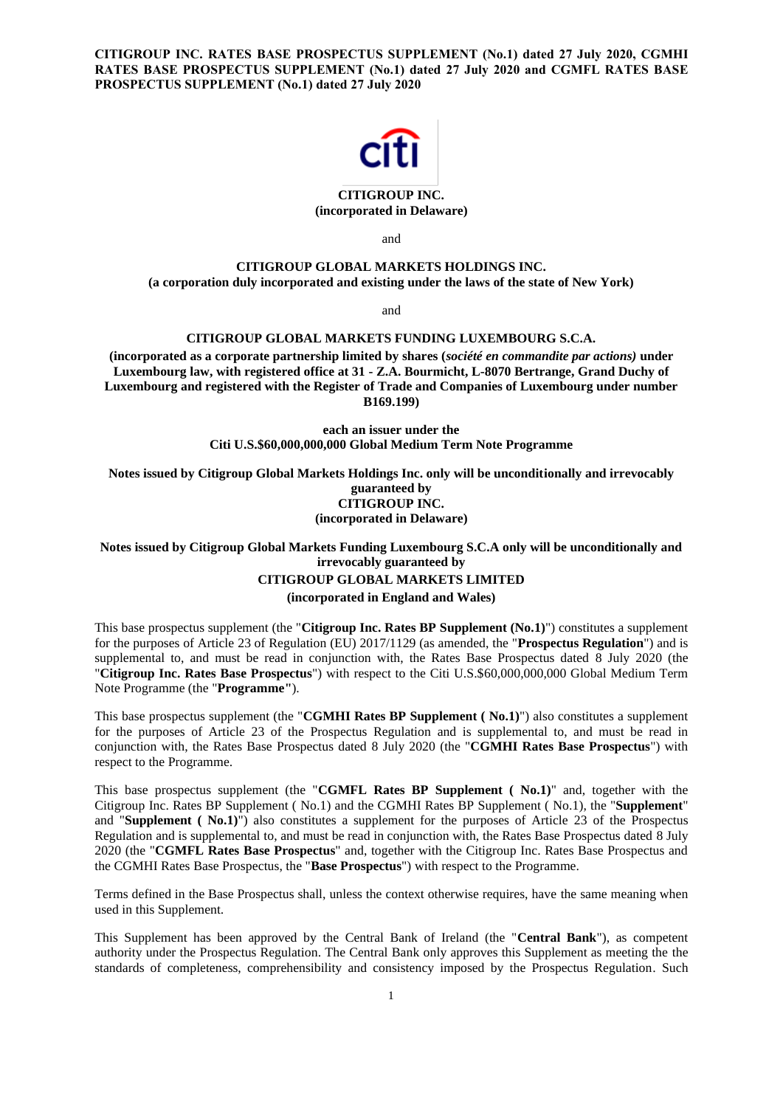**CITIGROUP INC. RATES BASE PROSPECTUS SUPPLEMENT (No.1) dated 27 July 2020, CGMHI RATES BASE PROSPECTUS SUPPLEMENT (No.1) dated 27 July 2020 and CGMFL RATES BASE PROSPECTUS SUPPLEMENT (No.1) dated 27 July 2020**



## **CITIGROUP INC. (incorporated in Delaware)**

and

# **CITIGROUP GLOBAL MARKETS HOLDINGS INC.**

**(a corporation duly incorporated and existing under the laws of the state of New York)**

and

## **CITIGROUP GLOBAL MARKETS FUNDING LUXEMBOURG S.C.A.**

**(incorporated as a corporate partnership limited by shares (***société en commandite par actions)* **under Luxembourg law, with registered office at 31 - Z.A. Bourmicht, L-8070 Bertrange, Grand Duchy of Luxembourg and registered with the Register of Trade and Companies of Luxembourg under number B169.199)**

> **each an issuer under the Citi U.S.\$60,000,000,000 Global Medium Term Note Programme**

**Notes issued by Citigroup Global Markets Holdings Inc. only will be unconditionally and irrevocably guaranteed by CITIGROUP INC. (incorporated in Delaware)**

**Notes issued by Citigroup Global Markets Funding Luxembourg S.C.A only will be unconditionally and irrevocably guaranteed by**

#### **CITIGROUP GLOBAL MARKETS LIMITED**

**(incorporated in England and Wales)**

This base prospectus supplement (the "**Citigroup Inc. Rates BP Supplement (No.1)**") constitutes a supplement for the purposes of Article 23 of Regulation (EU) 2017/1129 (as amended, the "**Prospectus Regulation**") and is supplemental to, and must be read in conjunction with, the Rates Base Prospectus dated 8 July 2020 (the "**Citigroup Inc. Rates Base Prospectus**") with respect to the Citi U.S.\$60,000,000,000 Global Medium Term Note Programme (the "**Programme"**).

This base prospectus supplement (the "**CGMHI Rates BP Supplement ( No.1)**") also constitutes a supplement for the purposes of Article 23 of the Prospectus Regulation and is supplemental to, and must be read in conjunction with, the Rates Base Prospectus dated 8 July 2020 (the "**CGMHI Rates Base Prospectus**") with respect to the Programme.

This base prospectus supplement (the "**CGMFL Rates BP Supplement ( No.1)**" and, together with the Citigroup Inc. Rates BP Supplement ( No.1) and the CGMHI Rates BP Supplement ( No.1), the "**Supplement**" and "**Supplement ( No.1)**") also constitutes a supplement for the purposes of Article 23 of the Prospectus Regulation and is supplemental to, and must be read in conjunction with, the Rates Base Prospectus dated 8 July 2020 (the "**CGMFL Rates Base Prospectus**" and, together with the Citigroup Inc. Rates Base Prospectus and the CGMHI Rates Base Prospectus, the "**Base Prospectus**") with respect to the Programme.

Terms defined in the Base Prospectus shall, unless the context otherwise requires, have the same meaning when used in this Supplement.

This Supplement has been approved by the Central Bank of Ireland (the "**Central Bank**"), as competent authority under the Prospectus Regulation. The Central Bank only approves this Supplement as meeting the the standards of completeness, comprehensibility and consistency imposed by the Prospectus Regulation. Such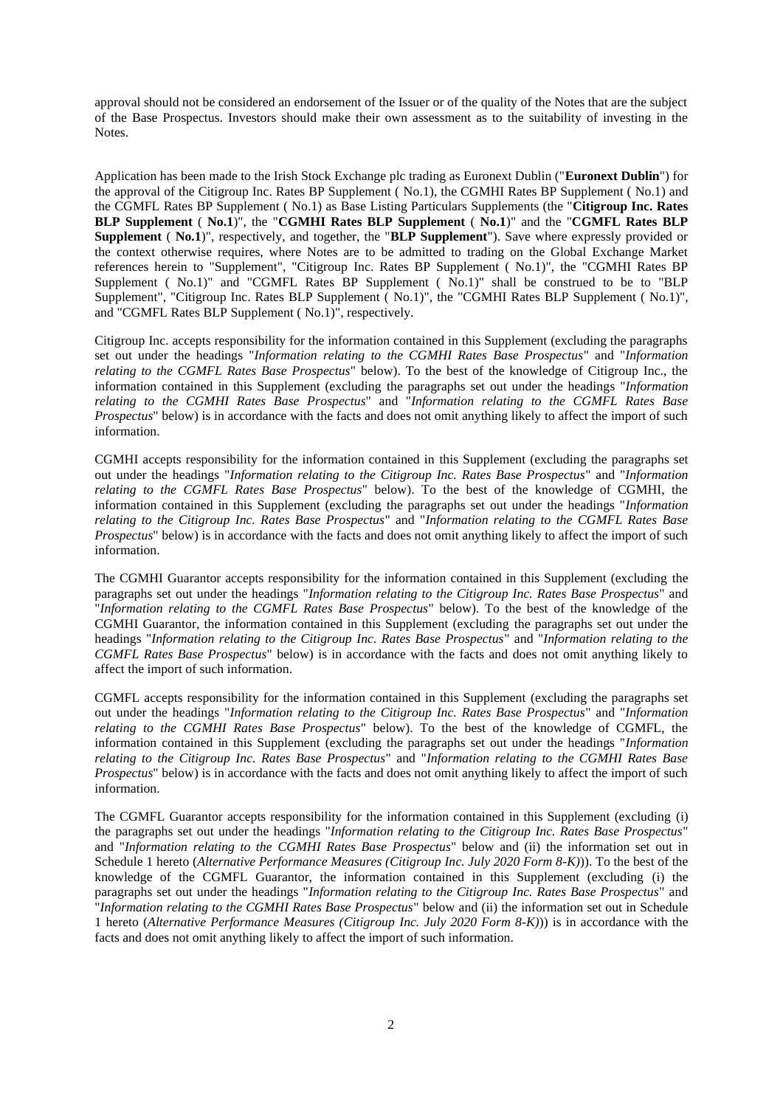approval should not be considered an endorsement of the Issuer or of the quality of the Notes that are the subject of the Base Prospectus. Investors should make their own assessment as to the suitability of investing in the Notes.

Application has been made to the Irish Stock Exchange plc trading as Euronext Dublin ("**Euronext Dublin**") for the approval of the Citigroup Inc. Rates BP Supplement ( No.1), the CGMHI Rates BP Supplement ( No.1) and the CGMFL Rates BP Supplement ( No.1) as Base Listing Particulars Supplements (the "**Citigroup Inc. Rates BLP Supplement** ( **No.1**)", the "**CGMHI Rates BLP Supplement** ( **No.1**)" and the "**CGMFL Rates BLP Supplement** ( **No.1**)", respectively, and together, the "**BLP Supplement**"). Save where expressly provided or the context otherwise requires, where Notes are to be admitted to trading on the Global Exchange Market references herein to "Supplement", "Citigroup Inc. Rates BP Supplement ( No.1)", the "CGMHI Rates BP Supplement ( No.1)" and "CGMFL Rates BP Supplement ( No.1)" shall be construed to be to "BLP Supplement", "Citigroup Inc. Rates BLP Supplement ( No.1)", the "CGMHI Rates BLP Supplement ( No.1)", and "CGMFL Rates BLP Supplement ( No.1)", respectively.

Citigroup Inc. accepts responsibility for the information contained in this Supplement (excluding the paragraphs set out under the headings "*Information relating to the CGMHI Rates Base Prospectus*" and "*Information relating to the CGMFL Rates Base Prospectus*" below). To the best of the knowledge of Citigroup Inc., the information contained in this Supplement (excluding the paragraphs set out under the headings "*Information relating to the CGMHI Rates Base Prospectus*" and "*Information relating to the CGMFL Rates Base Prospectus*" below) is in accordance with the facts and does not omit anything likely to affect the import of such information.

CGMHI accepts responsibility for the information contained in this Supplement (excluding the paragraphs set out under the headings "*Information relating to the Citigroup Inc. Rates Base Prospectus*" and "*Information relating to the CGMFL Rates Base Prospectus*" below). To the best of the knowledge of CGMHI, the information contained in this Supplement (excluding the paragraphs set out under the headings "*Information relating to the Citigroup Inc. Rates Base Prospectus*" and "*Information relating to the CGMFL Rates Base Prospectus*" below) is in accordance with the facts and does not omit anything likely to affect the import of such information.

The CGMHI Guarantor accepts responsibility for the information contained in this Supplement (excluding the paragraphs set out under the headings "*Information relating to the Citigroup Inc. Rates Base Prospectus*" and "*Information relating to the CGMFL Rates Base Prospectus*" below). To the best of the knowledge of the CGMHI Guarantor, the information contained in this Supplement (excluding the paragraphs set out under the headings "*Information relating to the Citigroup Inc. Rates Base Prospectus*" and "*Information relating to the CGMFL Rates Base Prospectus*" below) is in accordance with the facts and does not omit anything likely to affect the import of such information.

CGMFL accepts responsibility for the information contained in this Supplement (excluding the paragraphs set out under the headings "*Information relating to the Citigroup Inc. Rates Base Prospectus*" and "*Information relating to the CGMHI Rates Base Prospectus*" below). To the best of the knowledge of CGMFL, the information contained in this Supplement (excluding the paragraphs set out under the headings "*Information relating to the Citigroup Inc. Rates Base Prospectus*" and "*Information relating to the CGMHI Rates Base Prospectus*" below) is in accordance with the facts and does not omit anything likely to affect the import of such information.

The CGMFL Guarantor accepts responsibility for the information contained in this Supplement (excluding (i) the paragraphs set out under the headings "*Information relating to the Citigroup Inc. Rates Base Prospectus*" and "*Information relating to the CGMHI Rates Base Prospectus*" below and (ii) the information set out in Schedule 1 hereto (*Alternative Performance Measures (Citigroup Inc. July 2020 Form 8-K)*)). To the best of the knowledge of the CGMFL Guarantor, the information contained in this Supplement (excluding (i) the paragraphs set out under the headings "*Information relating to the Citigroup Inc. Rates Base Prospectus*" and "*Information relating to the CGMHI Rates Base Prospectus*" below and (ii) the information set out in Schedule 1 hereto (*Alternative Performance Measures (Citigroup Inc. July 2020 Form 8-K)*)) is in accordance with the facts and does not omit anything likely to affect the import of such information.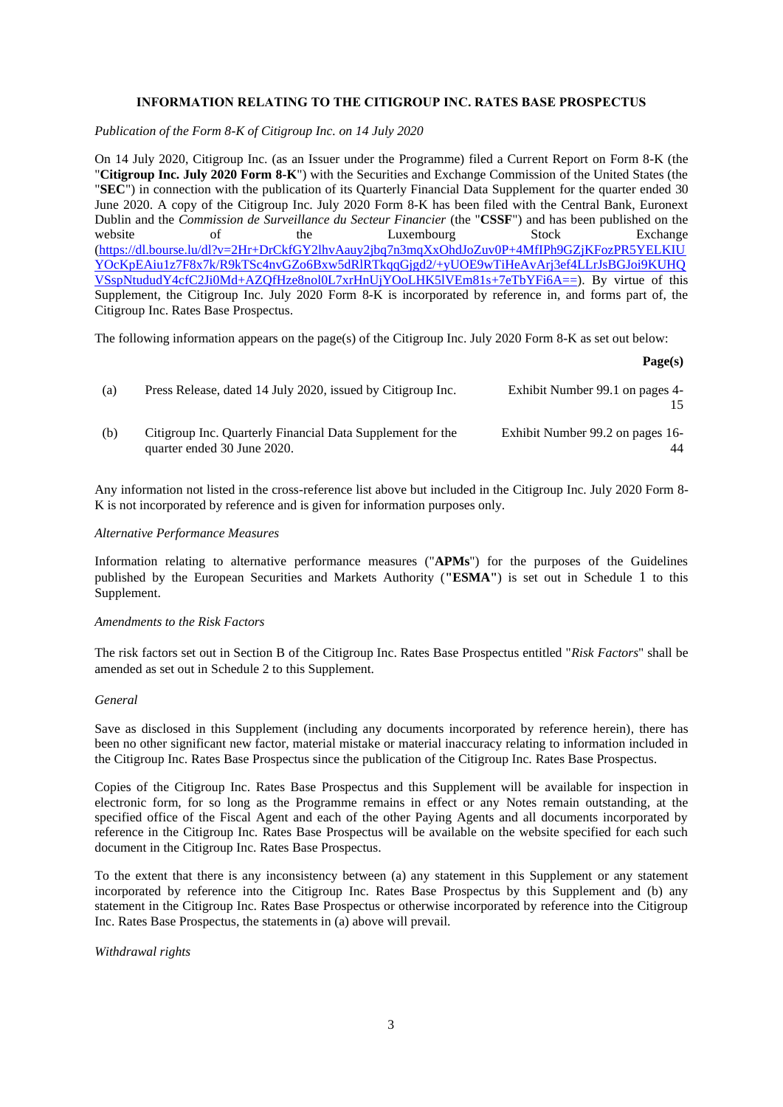## **INFORMATION RELATING TO THE CITIGROUP INC. RATES BASE PROSPECTUS**

*Publication of the Form 8-K of Citigroup Inc. on 14 July 2020*

On 14 July 2020, Citigroup Inc. (as an Issuer under the Programme) filed a Current Report on Form 8-K (the "**Citigroup Inc. July 2020 Form 8-K**") with the Securities and Exchange Commission of the United States (the "**SEC**") in connection with the publication of its Quarterly Financial Data Supplement for the quarter ended 30 June 2020. A copy of the Citigroup Inc. July 2020 Form 8-K has been filed with the Central Bank, Euronext Dublin and the *Commission de Surveillance du Secteur Financier* (the "**CSSF**") and has been published on the website of the Luxembourg Stock Exchange [\(https://dl.bourse.lu/dl?v=2Hr+DrCkfGY2lhvAauy2jbq7n3mqXxOhdJoZuv0P+4MfIPh9GZjKFozPR5YELKIU](https://dl.bourse.lu/dl?v=2Hr+DrCkfGY2lhvAauy2jbq7n3mqXxOhdJoZuv0P+4MfIPh9GZjKFozPR5YELKIUYOcKpEAiu1z7F8x7k/R9kTSc4nvGZo6Bxw5dRlRTkqqGjgd2/+yUOE9wTiHeAvArj3ef4LLrJsBGJoi9KUHQVSspNtududY4cfC2Ji0Md+AZQfHze8nol0L7xrHnUjYOoLHK5lVEm81s+7eTbYFi6A==) [YOcKpEAiu1z7F8x7k/R9kTSc4nvGZo6Bxw5dRlRTkqqGjgd2/+yUOE9wTiHeAvArj3ef4LLrJsBGJoi9KUHQ](https://dl.bourse.lu/dl?v=2Hr+DrCkfGY2lhvAauy2jbq7n3mqXxOhdJoZuv0P+4MfIPh9GZjKFozPR5YELKIUYOcKpEAiu1z7F8x7k/R9kTSc4nvGZo6Bxw5dRlRTkqqGjgd2/+yUOE9wTiHeAvArj3ef4LLrJsBGJoi9KUHQVSspNtududY4cfC2Ji0Md+AZQfHze8nol0L7xrHnUjYOoLHK5lVEm81s+7eTbYFi6A==) [VSspNtududY4cfC2Ji0Md+AZQfHze8nol0L7xrHnUjYOoLHK5lVEm81s+7eTbYFi6A==\)](https://dl.bourse.lu/dl?v=2Hr+DrCkfGY2lhvAauy2jbq7n3mqXxOhdJoZuv0P+4MfIPh9GZjKFozPR5YELKIUYOcKpEAiu1z7F8x7k/R9kTSc4nvGZo6Bxw5dRlRTkqqGjgd2/+yUOE9wTiHeAvArj3ef4LLrJsBGJoi9KUHQVSspNtududY4cfC2Ji0Md+AZQfHze8nol0L7xrHnUjYOoLHK5lVEm81s+7eTbYFi6A==). By virtue of this Supplement, the Citigroup Inc. July 2020 Form 8-K is incorporated by reference in, and forms part of, the Citigroup Inc. Rates Base Prospectus.

The following information appears on the page(s) of the Citigroup Inc. July 2020 Form 8-K as set out below:

#### **Page(s)**

| (a) | Press Release, dated 14 July 2020, issued by Citigroup Inc.                               | Exhibit Number 99.1 on pages 4-        |
|-----|-------------------------------------------------------------------------------------------|----------------------------------------|
| (b) | Citigroup Inc. Quarterly Financial Data Supplement for the<br>quarter ended 30 June 2020. | Exhibit Number 99.2 on pages 16-<br>44 |

Any information not listed in the cross-reference list above but included in the Citigroup Inc. July 2020 Form 8- K is not incorporated by reference and is given for information purposes only.

## *Alternative Performance Measures*

Information relating to alternative performance measures ("**APMs**") for the purposes of the Guidelines published by the European Securities and Markets Authority (**"ESMA"**) is set out in Schedule 1 to this Supplement.

### *Amendments to the Risk Factors*

The risk factors set out in Section B of the Citigroup Inc. Rates Base Prospectus entitled "*Risk Factors*" shall be amended as set out in Schedule 2 to this Supplement.

### *General*

Save as disclosed in this Supplement (including any documents incorporated by reference herein), there has been no other significant new factor, material mistake or material inaccuracy relating to information included in the Citigroup Inc. Rates Base Prospectus since the publication of the Citigroup Inc. Rates Base Prospectus.

Copies of the Citigroup Inc. Rates Base Prospectus and this Supplement will be available for inspection in electronic form, for so long as the Programme remains in effect or any Notes remain outstanding, at the specified office of the Fiscal Agent and each of the other Paying Agents and all documents incorporated by reference in the Citigroup Inc. Rates Base Prospectus will be available on the website specified for each such document in the Citigroup Inc. Rates Base Prospectus.

To the extent that there is any inconsistency between (a) any statement in this Supplement or any statement incorporated by reference into the Citigroup Inc. Rates Base Prospectus by this Supplement and (b) any statement in the Citigroup Inc. Rates Base Prospectus or otherwise incorporated by reference into the Citigroup Inc. Rates Base Prospectus, the statements in (a) above will prevail.

*Withdrawal rights*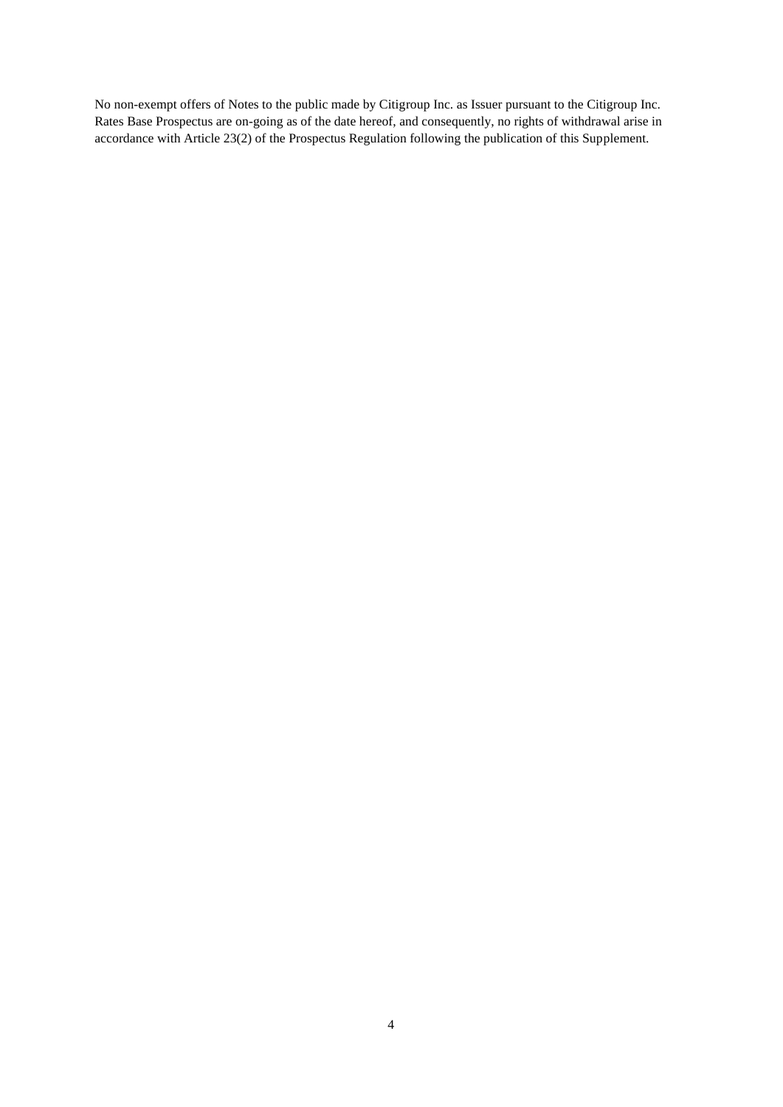No non-exempt offers of Notes to the public made by Citigroup Inc. as Issuer pursuant to the Citigroup Inc. Rates Base Prospectus are on-going as of the date hereof, and consequently, no rights of withdrawal arise in accordance with Article 23(2) of the Prospectus Regulation following the publication of this Supplement.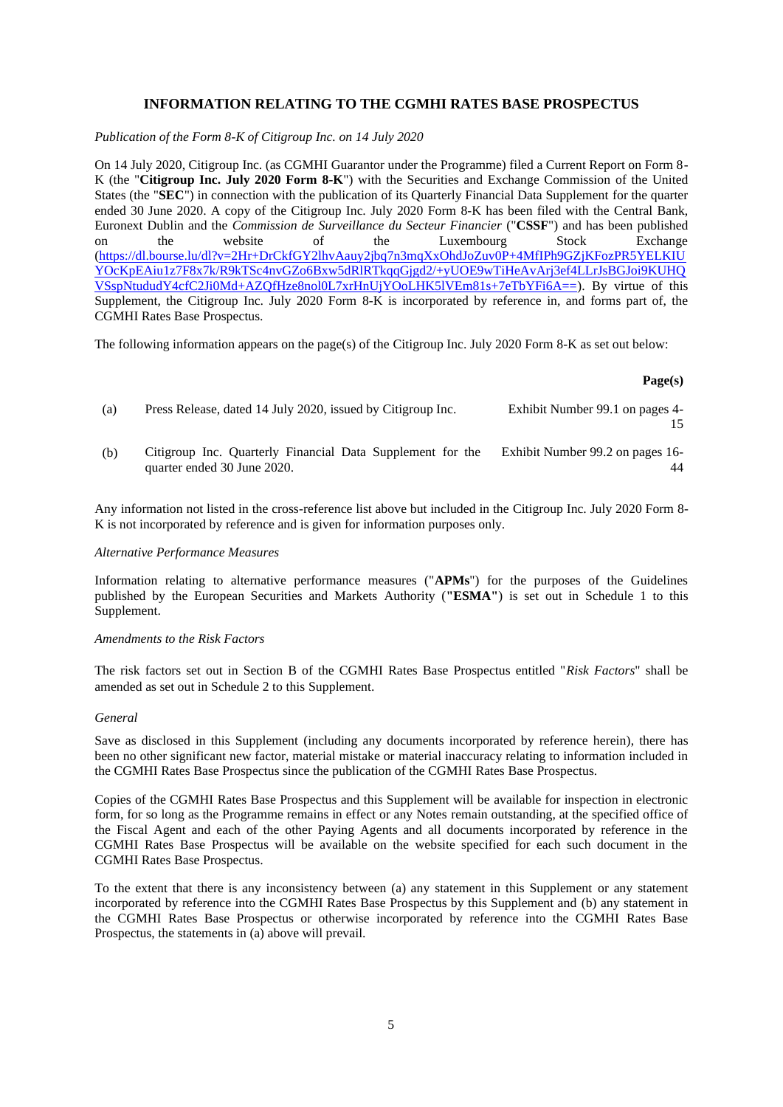# **INFORMATION RELATING TO THE CGMHI RATES BASE PROSPECTUS**

*Publication of the Form 8-K of Citigroup Inc. on 14 July 2020*

On 14 July 2020, Citigroup Inc. (as CGMHI Guarantor under the Programme) filed a Current Report on Form 8- K (the "**Citigroup Inc. July 2020 Form 8-K**") with the Securities and Exchange Commission of the United States (the "**SEC**") in connection with the publication of its Quarterly Financial Data Supplement for the quarter ended 30 June 2020. A copy of the Citigroup Inc. July 2020 Form 8-K has been filed with the Central Bank, Euronext Dublin and the *Commission de Surveillance du Secteur Financier* ("**CSSF**") and has been published on the website of the Luxembourg Stock Exchange [\(https://dl.bourse.lu/dl?v=2Hr+DrCkfGY2lhvAauy2jbq7n3mqXxOhdJoZuv0P+4MfIPh9GZjKFozPR5YELKIU](https://dl.bourse.lu/dl?v=2Hr+DrCkfGY2lhvAauy2jbq7n3mqXxOhdJoZuv0P+4MfIPh9GZjKFozPR5YELKIUYOcKpEAiu1z7F8x7k/R9kTSc4nvGZo6Bxw5dRlRTkqqGjgd2/+yUOE9wTiHeAvArj3ef4LLrJsBGJoi9KUHQVSspNtududY4cfC2Ji0Md+AZQfHze8nol0L7xrHnUjYOoLHK5lVEm81s+7eTbYFi6A==) [YOcKpEAiu1z7F8x7k/R9kTSc4nvGZo6Bxw5dRlRTkqqGjgd2/+yUOE9wTiHeAvArj3ef4LLrJsBGJoi9KUHQ](https://dl.bourse.lu/dl?v=2Hr+DrCkfGY2lhvAauy2jbq7n3mqXxOhdJoZuv0P+4MfIPh9GZjKFozPR5YELKIUYOcKpEAiu1z7F8x7k/R9kTSc4nvGZo6Bxw5dRlRTkqqGjgd2/+yUOE9wTiHeAvArj3ef4LLrJsBGJoi9KUHQVSspNtududY4cfC2Ji0Md+AZQfHze8nol0L7xrHnUjYOoLHK5lVEm81s+7eTbYFi6A==) [VSspNtududY4cfC2Ji0Md+AZQfHze8nol0L7xrHnUjYOoLHK5lVEm81s+7eTbYFi6A==\)](https://dl.bourse.lu/dl?v=2Hr+DrCkfGY2lhvAauy2jbq7n3mqXxOhdJoZuv0P+4MfIPh9GZjKFozPR5YELKIUYOcKpEAiu1z7F8x7k/R9kTSc4nvGZo6Bxw5dRlRTkqqGjgd2/+yUOE9wTiHeAvArj3ef4LLrJsBGJoi9KUHQVSspNtududY4cfC2Ji0Md+AZQfHze8nol0L7xrHnUjYOoLHK5lVEm81s+7eTbYFi6A==). By virtue of this Supplement, the Citigroup Inc. July 2020 Form 8-K is incorporated by reference in, and forms part of, the CGMHI Rates Base Prospectus.

The following information appears on the page(s) of the Citigroup Inc. July 2020 Form 8-K as set out below:

#### **Page(s)**

| (a) | Press Release, dated 14 July 2020, issued by Citigroup Inc.                               | Exhibit Number 99.1 on pages 4-        |
|-----|-------------------------------------------------------------------------------------------|----------------------------------------|
| (b) | Citigroup Inc. Quarterly Financial Data Supplement for the<br>quarter ended 30 June 2020. | Exhibit Number 99.2 on pages 16-<br>44 |

Any information not listed in the cross-reference list above but included in the Citigroup Inc. July 2020 Form 8- K is not incorporated by reference and is given for information purposes only.

### *Alternative Performance Measures*

Information relating to alternative performance measures ("**APMs**") for the purposes of the Guidelines published by the European Securities and Markets Authority (**"ESMA"**) is set out in Schedule 1 to this Supplement.

### *Amendments to the Risk Factors*

The risk factors set out in Section B of the CGMHI Rates Base Prospectus entitled "*Risk Factors*" shall be amended as set out in Schedule 2 to this Supplement.

#### *General*

Save as disclosed in this Supplement (including any documents incorporated by reference herein), there has been no other significant new factor, material mistake or material inaccuracy relating to information included in the CGMHI Rates Base Prospectus since the publication of the CGMHI Rates Base Prospectus.

Copies of the CGMHI Rates Base Prospectus and this Supplement will be available for inspection in electronic form, for so long as the Programme remains in effect or any Notes remain outstanding, at the specified office of the Fiscal Agent and each of the other Paying Agents and all documents incorporated by reference in the CGMHI Rates Base Prospectus will be available on the website specified for each such document in the CGMHI Rates Base Prospectus.

To the extent that there is any inconsistency between (a) any statement in this Supplement or any statement incorporated by reference into the CGMHI Rates Base Prospectus by this Supplement and (b) any statement in the CGMHI Rates Base Prospectus or otherwise incorporated by reference into the CGMHI Rates Base Prospectus, the statements in (a) above will prevail.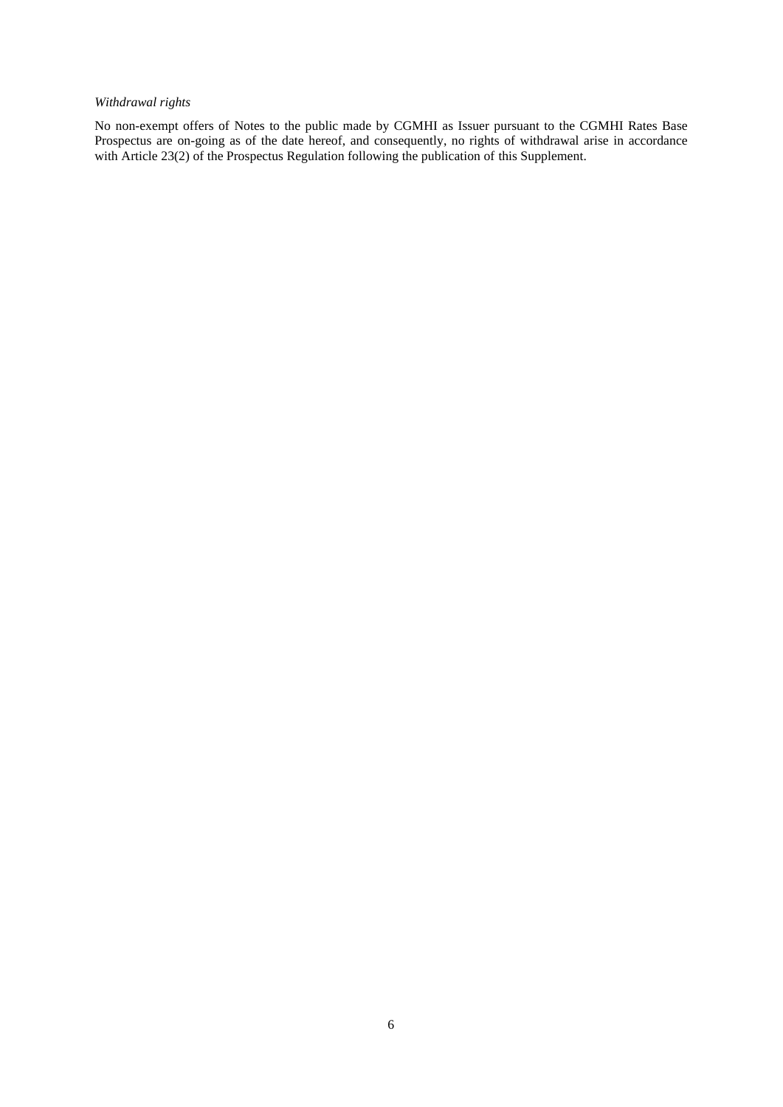# *Withdrawal rights*

No non-exempt offers of Notes to the public made by CGMHI as Issuer pursuant to the CGMHI Rates Base Prospectus are on-going as of the date hereof, and consequently, no rights of withdrawal arise in accordance with Article 23(2) of the Prospectus Regulation following the publication of this Supplement.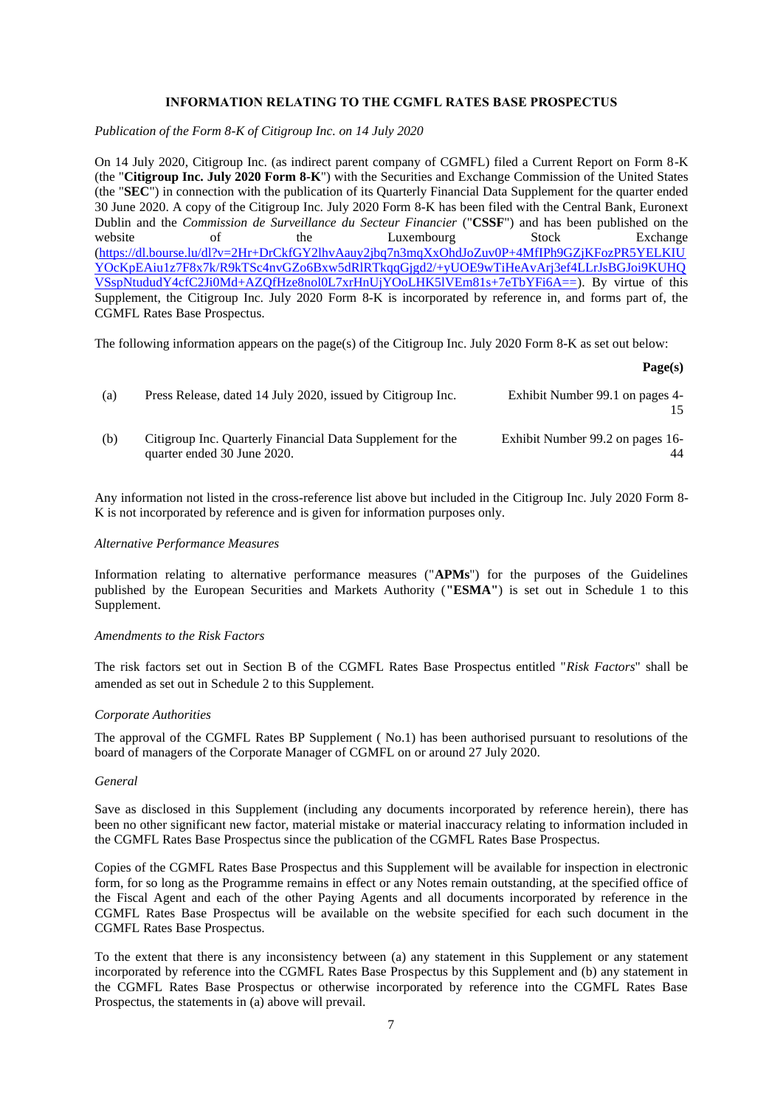## **INFORMATION RELATING TO THE CGMFL RATES BASE PROSPECTUS**

*Publication of the Form 8-K of Citigroup Inc. on 14 July 2020*

On 14 July 2020, Citigroup Inc. (as indirect parent company of CGMFL) filed a Current Report on Form 8-K (the "**Citigroup Inc. July 2020 Form 8-K**") with the Securities and Exchange Commission of the United States (the "**SEC**") in connection with the publication of its Quarterly Financial Data Supplement for the quarter ended 30 June 2020. A copy of the Citigroup Inc. July 2020 Form 8-K has been filed with the Central Bank, Euronext Dublin and the *Commission de Surveillance du Secteur Financier* ("**CSSF**") and has been published on the website of the Luxembourg Stock Exchange [\(https://dl.bourse.lu/dl?v=2Hr+DrCkfGY2lhvAauy2jbq7n3mqXxOhdJoZuv0P+4MfIPh9GZjKFozPR5YELKIU](https://dl.bourse.lu/dl?v=2Hr+DrCkfGY2lhvAauy2jbq7n3mqXxOhdJoZuv0P+4MfIPh9GZjKFozPR5YELKIUYOcKpEAiu1z7F8x7k/R9kTSc4nvGZo6Bxw5dRlRTkqqGjgd2/+yUOE9wTiHeAvArj3ef4LLrJsBGJoi9KUHQVSspNtududY4cfC2Ji0Md+AZQfHze8nol0L7xrHnUjYOoLHK5lVEm81s+7eTbYFi6A==) [YOcKpEAiu1z7F8x7k/R9kTSc4nvGZo6Bxw5dRlRTkqqGjgd2/+yUOE9wTiHeAvArj3ef4LLrJsBGJoi9KUHQ](https://dl.bourse.lu/dl?v=2Hr+DrCkfGY2lhvAauy2jbq7n3mqXxOhdJoZuv0P+4MfIPh9GZjKFozPR5YELKIUYOcKpEAiu1z7F8x7k/R9kTSc4nvGZo6Bxw5dRlRTkqqGjgd2/+yUOE9wTiHeAvArj3ef4LLrJsBGJoi9KUHQVSspNtududY4cfC2Ji0Md+AZQfHze8nol0L7xrHnUjYOoLHK5lVEm81s+7eTbYFi6A==) [VSspNtududY4cfC2Ji0Md+AZQfHze8nol0L7xrHnUjYOoLHK5lVEm81s+7eTbYFi6A==\)](https://dl.bourse.lu/dl?v=2Hr+DrCkfGY2lhvAauy2jbq7n3mqXxOhdJoZuv0P+4MfIPh9GZjKFozPR5YELKIUYOcKpEAiu1z7F8x7k/R9kTSc4nvGZo6Bxw5dRlRTkqqGjgd2/+yUOE9wTiHeAvArj3ef4LLrJsBGJoi9KUHQVSspNtududY4cfC2Ji0Md+AZQfHze8nol0L7xrHnUjYOoLHK5lVEm81s+7eTbYFi6A==). By virtue of this Supplement, the Citigroup Inc. July 2020 Form 8-K is incorporated by reference in, and forms part of, the CGMFL Rates Base Prospectus.

The following information appears on the page(s) of the Citigroup Inc. July 2020 Form 8-K as set out below:

**Page(s)**

| (a) | Press Release, dated 14 July 2020, issued by Citigroup Inc.                               | Exhibit Number 99.1 on pages 4-  |
|-----|-------------------------------------------------------------------------------------------|----------------------------------|
| (b) | Citigroup Inc. Quarterly Financial Data Supplement for the<br>quarter ended 30 June 2020. | Exhibit Number 99.2 on pages 16- |

Any information not listed in the cross-reference list above but included in the Citigroup Inc. July 2020 Form 8- K is not incorporated by reference and is given for information purposes only.

## *Alternative Performance Measures*

Information relating to alternative performance measures ("**APMs**") for the purposes of the Guidelines published by the European Securities and Markets Authority (**"ESMA"**) is set out in Schedule 1 to this Supplement.

#### *Amendments to the Risk Factors*

The risk factors set out in Section B of the CGMFL Rates Base Prospectus entitled "*Risk Factors*" shall be amended as set out in Schedule 2 to this Supplement.

#### *Corporate Authorities*

The approval of the CGMFL Rates BP Supplement ( No.1) has been authorised pursuant to resolutions of the board of managers of the Corporate Manager of CGMFL on or around 27 July 2020.

### *General*

Save as disclosed in this Supplement (including any documents incorporated by reference herein), there has been no other significant new factor, material mistake or material inaccuracy relating to information included in the CGMFL Rates Base Prospectus since the publication of the CGMFL Rates Base Prospectus.

Copies of the CGMFL Rates Base Prospectus and this Supplement will be available for inspection in electronic form, for so long as the Programme remains in effect or any Notes remain outstanding, at the specified office of the Fiscal Agent and each of the other Paying Agents and all documents incorporated by reference in the CGMFL Rates Base Prospectus will be available on the website specified for each such document in the CGMFL Rates Base Prospectus.

To the extent that there is any inconsistency between (a) any statement in this Supplement or any statement incorporated by reference into the CGMFL Rates Base Prospectus by this Supplement and (b) any statement in the CGMFL Rates Base Prospectus or otherwise incorporated by reference into the CGMFL Rates Base Prospectus, the statements in (a) above will prevail.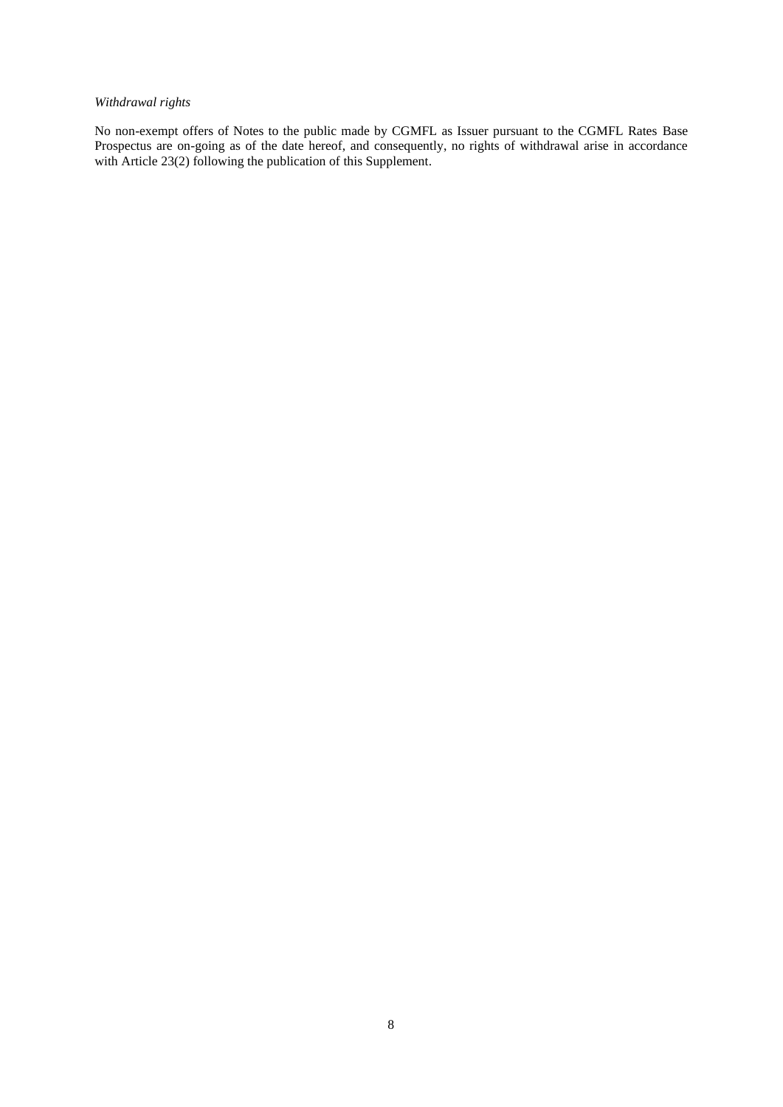# *Withdrawal rights*

No non-exempt offers of Notes to the public made by CGMFL as Issuer pursuant to the CGMFL Rates Base Prospectus are on-going as of the date hereof, and consequently, no rights of withdrawal arise in accordance with Article 23(2) following the publication of this Supplement.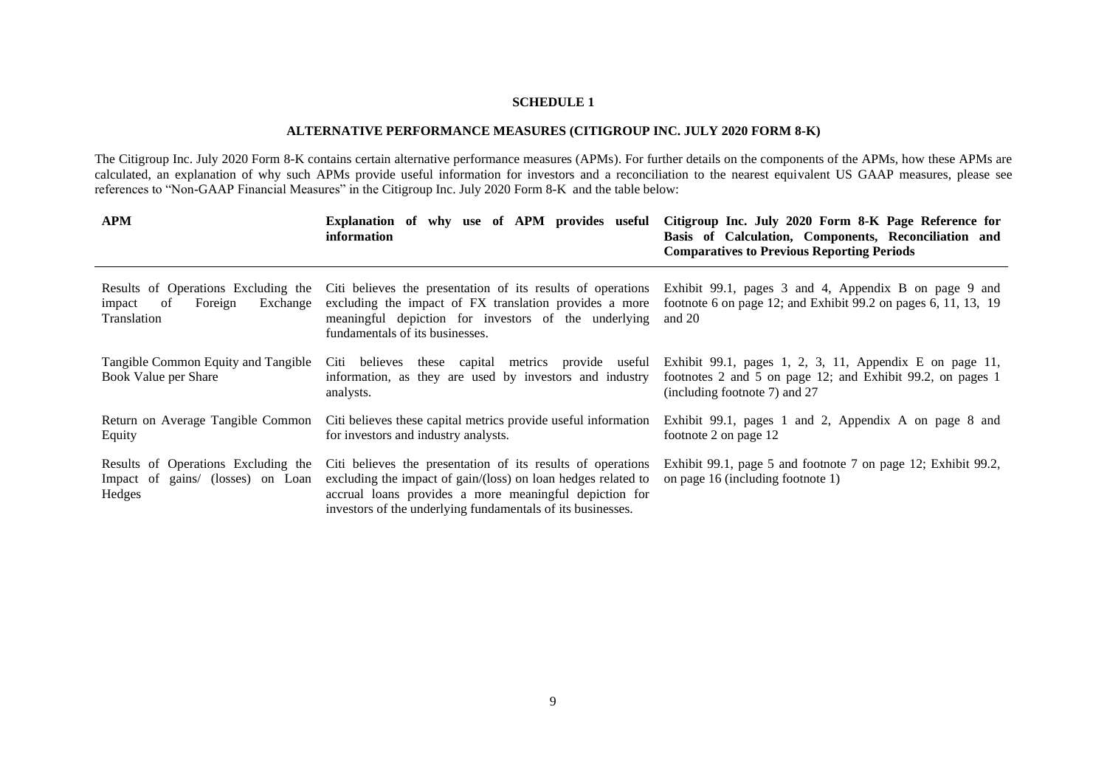# **SCHEDULE 1**

## **ALTERNATIVE PERFORMANCE MEASURES (CITIGROUP INC. JULY 2020 FORM 8-K)**

The Citigroup Inc. July 2020 Form 8-K contains certain alternative performance measures (APMs). For further details on the components of the APMs, how these APMs are calculated, an explanation of why such APMs provide useful information for investors and a reconciliation to the nearest equivalent US GAAP measures, please see references to "Non-GAAP Financial Measures" in the Citigroup Inc. July 2020 Form 8-K and the table below:

| <b>APM</b>                                                                                | Explanation of why use of APM provides useful<br>information                                                                                                                                                                                          | Citigroup Inc. July 2020 Form 8-K Page Reference for<br>Basis of Calculation, Components, Reconciliation and<br><b>Comparatives to Previous Reporting Periods</b> |
|-------------------------------------------------------------------------------------------|-------------------------------------------------------------------------------------------------------------------------------------------------------------------------------------------------------------------------------------------------------|-------------------------------------------------------------------------------------------------------------------------------------------------------------------|
| Results of Operations Excluding the<br>Exchange<br>Foreign<br>of<br>impact<br>Translation | Citi believes the presentation of its results of operations<br>excluding the impact of FX translation provides a more<br>meaningful depiction for investors of the underlying<br>fundamentals of its businesses.                                      | Exhibit 99.1, pages 3 and 4, Appendix B on page 9 and<br>footnote 6 on page 12; and Exhibit 99.2 on pages 6, 11, 13, 19<br>and $20$                               |
| Tangible Common Equity and Tangible<br>Book Value per Share                               | metrics provide useful<br>Citi believes<br>these capital<br>information, as they are used by investors and industry<br>analysts.                                                                                                                      | Exhibit 99.1, pages 1, 2, 3, 11, Appendix E on page 11,<br>footnotes 2 and 5 on page 12; and Exhibit 99.2, on pages 1<br>(including footnote 7) and 27            |
| Return on Average Tangible Common<br>Equity                                               | Citi believes these capital metrics provide useful information<br>for investors and industry analysts.                                                                                                                                                | Exhibit 99.1, pages 1 and 2, Appendix A on page 8 and<br>footnote 2 on page 12                                                                                    |
| Results of Operations Excluding the<br>Impact of gains/ (losses) on Loan<br>Hedges        | Citi believes the presentation of its results of operations<br>excluding the impact of gain/(loss) on loan hedges related to<br>accrual loans provides a more meaningful depiction for<br>investors of the underlying fundamentals of its businesses. | Exhibit 99.1, page 5 and footnote 7 on page 12; Exhibit 99.2,<br>on page 16 (including footnote 1)                                                                |